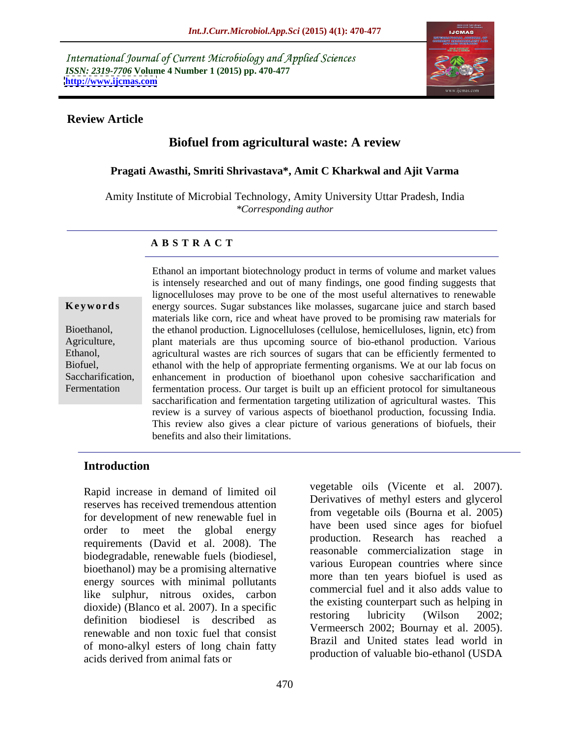International Journal of Current Microbiology and Applied Sciences *ISSN: 2319-7706* **Volume 4 Number 1 (2015) pp. 470-477 <http://www.ijcmas.com>**



#### **Review Article**

# **Biofuel from agricultural waste: A review**

#### **Pragati Awasthi, Smriti Shrivastava\*, Amit C Kharkwal and Ajit Varma**

Amity Institute of Microbial Technology, Amity University Uttar Pradesh, India *\*Corresponding author* 

#### **A B S T R A C T**

Fermentation

Ethanol an important biotechnology product in terms of volume and market values is intensely researched and out of many findings, one good finding suggests that lignocelluloses may prove to be one of the most useful alternatives to renewable energy sources. Sugar substances like molasses, sugarcane juice and starch based **Ke ywo rds** materials like corn, rice and wheat have proved to be promising raw materials for Bioethanol, the ethanol production. Lignocelluloses (cellulose, hemicelluloses, lignin, etc) from Agriculture, a plant materials are thus upcoming source of bio-ethanol production. Various Ethanol, agricultural wastes are rich sources of sugars that can be efficiently fermented to ethanol with the help of appropriate fermenting organisms. We at our lab focus on Biofuel, Saccharification, enhancement in production of bioethanol upon cohesive saccharification and fermentation process. Our target is built up an efficient protocol for simultaneous saccharification and fermentation targeting utilization of agricultural wastes. This review is a survey of various aspects of bioethanol production, focussing India. This review also gives a clear picture of various generations of biofuels, their benefits and also their limitations.

### **Introduction**

Rapid increase in demand of limited oil reserves has received tremendous attention for development of new renewable fuel in order to meet the global energy and the countries are to bioline requirements (David et al. 2008). The biodegradable, renewable fuels (biodiesel, bioethanol) may be a promising alternative energy sources with minimal pollutants like sulphur, nitrous oxides, carbon dioxide) (Blanco et al. 2007). In a specific the existing counterpart such as helping in the distribution of the distribution of the distribution of the distribution of the distribution of the distribution of the distribut definition biodiesel is described as renewable and non toxic fuel that consist of mono-alkyl esters of long chain fatty acids derived from animal fats or

vegetable oils (Vicente et al. 2007). Derivatives of methyl esters and glycerol from vegetable oils (Bourna et al. 2005) have been used since ages for biofuel production. Research has reached a reasonable commercialization stage in various European countries where since more than ten years biofuel is used as commercial fuel and it also adds value to the existing counterpart such as helping in restoring lubricity (Wilson 2002; Vermeersch 2002; Bournay et al. 2005). Brazil and United states lead world in production of valuable bio-ethanol (USDA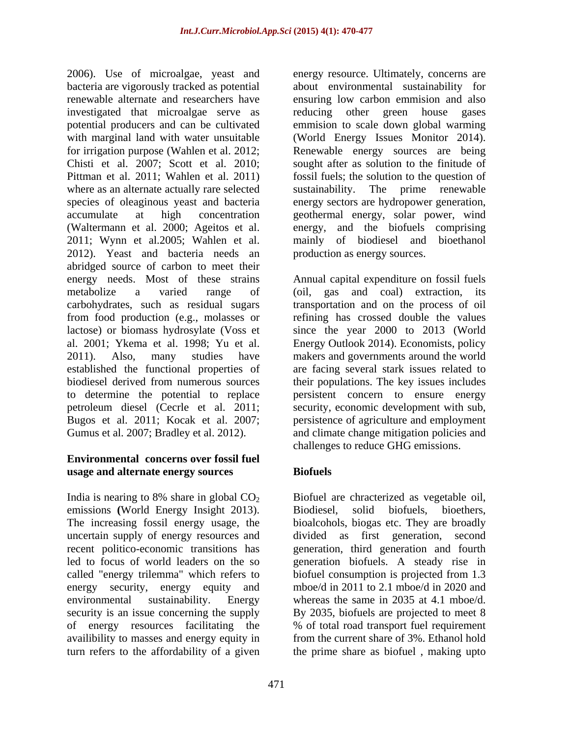2006). Use of microalgae, yeast and bacteria are vigorously tracked as potential about environmental sustainability for renewable alternate and researchers have ensuring low carbon emmision and also investigated that microalgae serve as reducing other green house gases potential producers and can be cultivated emmision to scale down global warming with marginal land with water unsuitable (World Energy Issues Monitor 2014). for irrigation purpose (Wahlen et al. 2012; Renewable energy sources are being Chisti et al. 2007; Scott et al. 2010; Pittman et al. 2011; Wahlen et al. 2011) fossil fuels; the solution to the question of where as an alternate actually rare selected species of oleaginous yeast and bacteria energy sectors are hydropower generation, accumulate at high concentration geothermal energy, solar power, wind (Waltermann et al. 2000; Ageitos et al. energy, and the biofuels comprising 2011; Wynn et al.2005; Wahlen et al. 2012). Yeast and bacteria needs an abridged source of carbon to meet their energy needs. Most of these strains metabolize a varied range of (oil, gas and coal) extraction, its carbohydrates, such as residual sugars transportation and on the process of oil from food production (e.g., molasses or refining has crossed double the values lactose) or biomass hydrosylate (Voss et since the year 2000 to 2013 (World al. 2001; Ykema et al. 1998; Yu et al. Energy Outlook 2014). Economists, policy 2011). Also, many studies have makers and governments around the world established the functional properties of are facing several stark issues related to biodiesel derived from numerous sources their populations. The key issues includes to determine the potential to replace persistent concern to ensure energy petroleum diesel (Cecrle et al. 2011; security, economic development with sub, Bugos et al. 2011; Kocak et al. 2007; Gumus et al. 2007; Bradley et al. 2012). **Ack** and climate change mitigation policies and

### **Environmental concerns over fossil fuel usage and alternate energy sources**

India is nearing to 8% share in global  $CO<sub>2</sub>$  Biofuel are chracterized as vegetable oil, emissions **(World Energy Insight 2013).** Biodiesel, solid biofuels, bioethers, The increasing fossil energy usage, the uncertain supply of energy resources and divided as first generation, second recent politico-economic transitions has generation, third generation and fourth led to focus of world leaders on the so generation biofuels.A steady rise in called "energy trilemma" which refers to biofuel consumption is projected from 1.3 energy security, energy equity and environmental sustainability. Energy whereas the same in 2035 at 4.1 mboe/d. security is an issue concerning the supply By 2035, biofuels are projected to meet 8 of energy resources facilitating the % of total road transport fuel requirement availibility to masses and energy equity in turn refers to the affordability of a given the prime share as biofuel , making upto

energy resource. Ultimately, concerns are reducing other green house gases sought after as solution to the finitude of sustainability. The prime renewable mainly of biodiesel and bioethanol production as energy sources.

Annual capital expenditure on fossil fuels persistence of agriculture and employment challenges to reduce GHG emissions.

# **Biofuels**

Biofuel are chracterized as vegetable oil, Biodiesel, solid biofuels, bioethers, bioalcohols, biogas etc. They are broadly biofuel consumption is projected from 1.3 mboe/d in 2011 to 2.1 mboe/d in 2020 and % of total road transport fuel requirement from the current share of 3%. Ethanol hold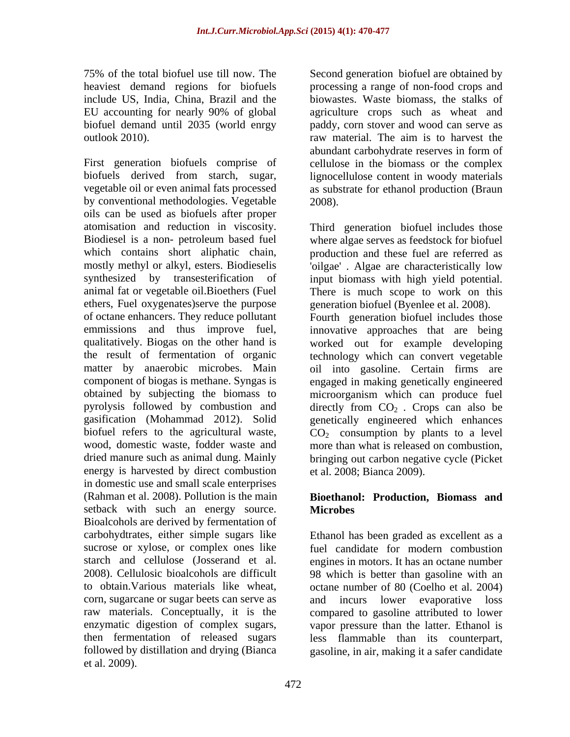include US, India, China, Brazil and the

First generation biofuels comprise of cellulose in the biomass or the complex biofuels derived from starch, sugar, lignocellulose content in woody materials<br>vegetable oil or even animal fats processed as substrate for ethanol production (Braun by conventional methodologies. Vegetable  $2008$ . oils can be used as biofuels after proper mostly methyl or alkyl, esters. Biodieselis energy is harvested by direct combustion in domestic use and small scale enterprises (Rahman et al. 2008). Pollution is the main **Bioethanol: Production, Biomass and** setback with such an energy source. Microbes Bioalcohols are derived by fermentation of carbohydtrates, either simple sugars like Ethanol has been graded as excellent as a sucrose or xylose, or complex ones like starch and cellulose (Josserand et al. engines in motors. It has an octane number 2008). Cellulosic bioalcohols are difficult 98 which is better than gasoline with an to obtain.Various materials like wheat, octane number of 80 (Coelho et al. 2004) corn, sugarcane or sugar beets can serve as raw materials. Conceptually, it is the compared to gasoline attributed to lower enzymatic digestion of complex sugars, then fermentation of released sugars less flammable than its counterpart, followed by distillation and drying (Bianca gasoline, in air, making it a safer candidate et al. 2009).

75% of the total biofuel use till now. The Second generation biofuel are obtained by heaviest demand regions for biofuels processing a range of non-food crops and EU accounting for nearly 90% of global biofuel demand until 2035 (world enrgy paddy, corn stover and wood can serve as outlook 2010). raw material. The aim is to harvest the biowastes. Waste biomass, the stalks of agriculture crops such as wheat and abundant carbohydrate reserves in form of lignocellulose content in woody materials as substrate for ethanol production (Braun 2008).

atomisation and reduction in viscosity. Third generation biofuel includes those Biodiesel is a non- petroleum based fuel where algae serves as feedstock for biofuel which contains short aliphatic chain, production and these fuel are referred as synthesized by transesterification of input biomass with high yield potential. animal fat or vegetable oil.Bioethers (Fuel There is much scope to work on this ethers, Fuel oxygenates)serve the purpose generation biofuel (Byenlee et al. 2008). of octane enhancers. They reduce pollutant Fourth generation biofuel includes those emmissions and thus improve fuel, innovative approaches that are being qualitatively. Biogas on the other hand is worked out for example developing the result of fermentation of organic technology which can convert vegetable matter by anaerobic microbes. Main oil into gasoline. Certain firms are component of biogas is methane. Syngas is engaged in making genetically engineered obtained by subjecting the biomass to microorganism which can produce fuel pyrolysis followed by combustion and directly from  $CO<sub>2</sub>$ . Crops can also be gasification (Mohammad 2012). Solid genetically engineered which enhances biofuel refers to the agricultural waste,  $CO<sub>2</sub>$  consumption by plants to a level wood, domestic waste, fodder waste and more than what is released on combustion, dried manure such as animal dung. Mainly bringing out carbon negative cycle (Picket 'oilgae' . Algae are characteristically low et al. 2008; Bianca 2009).

# **Microbes**

fuel candidate for modern combustion and incurs lower evaporative loss vapor pressure than the latter. Ethanol is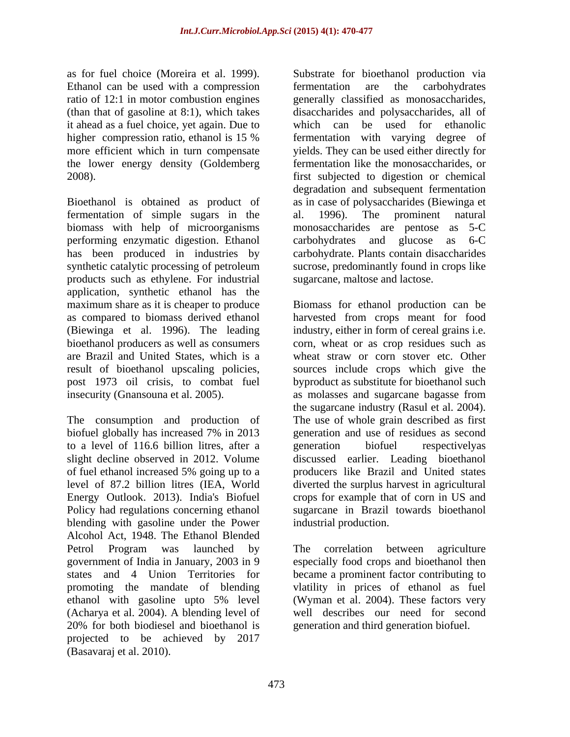Ethanol can be used with a compression fermentation are the carbohydrates it ahead as a fuel choice, yet again. Due to the lower energy density (Goldemberg

Bioethanol is obtained as product of as in case of polysaccharides (Biewinga et fermentation of simple sugars in the al. 1996). The prominent natural biomass with help of microorganisms performing enzymatic digestion. Ethanol carbohydrates and glucose as 6-C has been produced in industries by carbohydrate. Plants contain disaccharides synthetic catalytic processing of petroleum products such as ethylene. For industrial application, synthetic ethanol has the maximum share as it is cheaper to produce maximum share as it is cheaper to produce Biomass for ethanol production can be as compared to biomass derived ethanol harvested from crops meant for food (Biewinga et al. 1996). The leading industry, either in form of cereal grains i.e. bioethanol producers as well as consumers corn, wheat or as crop residues such as are Brazil and United States, which is a result of bioethanol upscaling policies, sources include crops which give the post 1973 oil crisis, to combat fuel byproduct as substitute for bioethanol such insecurity (Gnansouna et al. 2005). as molasses and sugarcane bagasse from

The consumption and production of The use of whole grain described as first biofuel globally has increased 7% in 2013 to a level of 116.6 billion litres, after a slight decline observed in 2012. Volume discussed earlier. Leading bioethanol of fuel ethanol increased 5% going up to a level of 87.2 billion litres (IEA, World diverted the surplus harvest in agricultural Energy Outlook. 2013). India's Biofuel crops for example that of corn in US and Policy had regulations concerning ethanol blending with gasoline under the Power Alcohol Act, 1948.The Ethanol Blended Petrol Program was launched by The correlation between agriculture government of India in January, 2003 in 9 especially food crops and bioethanol then states and 4 Union Territories for became a prominent factor contributing to promoting the mandate of blending vlatility in prices of ethanol as fuel ethanol with gasoline upto 5% level (Acharya et al. 2004). A blending level of 20% for both biodiesel and bioethanol is generation and third generation biofuel. projected to be achieved by 2017 (Basavaraj et al. 2010).

as for fuel choice (Moreira et al. 1999). Substrate for bioethanol production via ratio of 12:1 in motor combustion engines generally classified as monosaccharides, (than that of gasoline at 8:1), which takes disaccharides and polysaccharides, all of higher compression ratio, ethanol is 15 % fermentation with varying degree of more efficient which in turn compensate yields. They can be used either directly for 2008). first subjected to digestion or chemical fermentation are the carbohydrates which can be used for ethanolic fermentation like the monosaccharides, or degradation and subsequent fermentation al. 1996). The prominent natural monosaccharides are pentose as 5-C carbohydrates and glucose as 6-C sucrose, predominantly found in crops like sugarcane, maltose and lactose.

> wheat straw or corn stover etc. Other the sugarcane industry (Rasul et al. 2004). generation and use of residues as second generation biofuel respectivelyas producers like Brazil and United states sugarcane in Brazil towards bioethanol industrial production.

The correlation between agriculture (Wyman et al. 2004). These factors very well describes our need for second generation and third generation biofuel.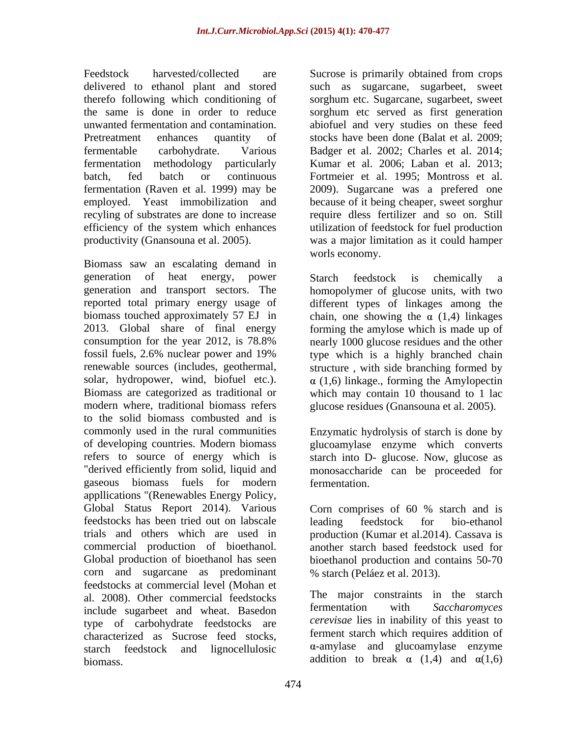Biomass saw an escalating demand in generation of heat energy, power generation and transport sectors. The homopolymer of glucose units, with two reported total primary energy usage of different types of linkages among the biomass touched approximately 57 EJ in chain, one showing the  $\alpha$  (1,4) linkages 2013. Global share of final energy forming the amylose which is made up of consumption for the year 2012, is 78.8% nearly 1000 glucose residues and the other fossil fuels, 2.6% nuclear power and 19% type which is a highly branched chain renewable sources (includes, geothermal, structure, with side branching formed by solar, hydropower, wind, biofuel etc.).  $\alpha$  (1,6) linkage., forming the Amylopectin Biomass are categorized as traditional or which may contain 10 thousand to 1 lac modern where, traditional biomass refers glucose residues (Gnansouna et al. 2005). to the solid biomass combusted and is commonly used in the rural communities Enzymatic hydrolysis of starch is done by of developing countries. Modern biomass glucoamylase enzyme which converts refers to source of energy which is starch into D- glucose. Now, glucose as "derived efficiently from solid, liquid and monosaccharide can be proceeded for gaseous biomass fuels for modern appllications "(Renewables Energy Policy, Global Status Report 2014). Various Corn comprises of 60 % starch and is feedstocks has been tried out on labscale trials and others which are used in production (Kumar et al.2014). Cassava is commercial production of bioethanol. another starch based feedstock used for Global production of bioethanol has seen bioethanol production and contains 50-70 corn and sugarcane as predominant feedstocks at commercial level (Mohan et al. 2008). Other commercial feedstocks and the major constraints in the starch<br>include sugarbeet and wheat Basedon fermentation with Saccharomyces include sugarbeet and wheat. Basedon type of carbohydrate feedstocks are characterized as Sucrose feed stocks, starch feedstock and lignocellulosic biomass.  $\qquad \qquad$  addition to break  $\alpha$  (1,4) and  $\alpha(1,6)$ 

Feedstock harvested/collected are Sucrose is primarily obtained from crops delivered to ethanol plant and stored such as sugarcane, sugarbeet, sweet therefo following which conditioning of sorghum etc. Sugarcane, sugarbeet, sweet the same is done in order to reduce sorghum etc served as first generation unwanted fermentation and contamination. abiofuel and very studies on these feed Pretreatment enhances quantity of stocks have been done (Balat et al. 2009; fermentable carbohydrate. Various Badger et al. 2002; Charles et al. 2014; fermentation methodology particularly Kumar et al. 2006; Laban et al. 2013; batch, fed batch or continuous Fortmeier et al. 1995; Montross et al. fermentation (Raven et al. 1999) may be 2009). Sugarcane was a prefered one employed. Yeast immobilization and because of it being cheaper, sweet sorghur recyling of substrates are done to increase require dless fertilizer and so on. Still efficiency of the system which enhances utilization of feedstock for fuel production productivity (Gnansouna et al. 2005). was a major limitation as it could hamper worls economy.

Starch feedstock is chemically a

fermentation.

Corn comprises of 60 % starch and is leading feedstock for bio-ethanol % starch (Peláez et al. 2013).

The major constraints in the starch fermentation with *Saccharomyces cerevisae* lies in inability of this yeast to ferment starch which requires addition of  $\alpha$ -amylase and glucoamylase enzyme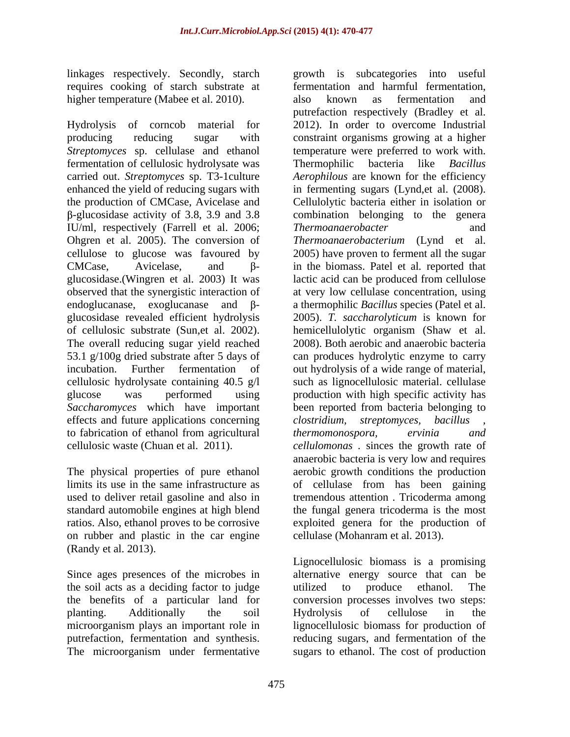linkages respectively. Secondly, starch requires cooking of starch substrate at higher temperature (Mabee et al. 2010). also known as fermentation and

Hydrolysis of corncob material for 2012). In order to overcome Industrial producing reducing sugar with constraint organisms growing at a higher *Streptomyces* sp. cellulase and ethanol temperature were preferred to work with. fermentation of cellulosic hydrolysate was Thermophilic bacteria like *Bacillus* carried out. *Streptomyces* sp. T3-1culture *Aerophilous* are known for the efficiency enhanced the yield of reducing sugars with in fermenting sugars (Lynd,et al. (2008). the production of CMCase, Avicelase and Cellulolytic bacteria either in isolation or IU/ml, respectively (Farrell et al. 2006; Ohgren et al. 2005). The conversion of Thermoanaerobacterium (Lynd et al. cellulose to glucose was favoured by 2005) have proven to ferment all the sugar CMCase, Avicelase, and  $\beta$ - in the biomass. Patel et al. reported that glucosidase.(Wingren et al. 2003) It was lactic acid can be produced from cellulose observed that the synergistic interaction of at very low cellulase concentration, using endoglucanase, exoglucanase and  $\beta$ - a thermophilic *Bacillus* species (Patel et al. glucosidase revealed efficient hydrolysis of cellulosic substrate (Sun,et al. 2002). hemicellulolytic organism (Shaw et al. The overall reducing sugar yield reached 2008). Both aerobic and anaerobic bacteria 53.1 g/100g dried substrate after 5 days of can produces hydrolytic enzyme to carry incubation. Further fermentation of out hydrolysis of a wide range of material, cellulosic hydrolysate containing 40.5 g/l such as lignocellulosic material. cellulase glucose was performed using production with high specific activity has *Saccharomyces* which have important been reported from bacteria belonging to effects and future applications concerning clostridium, streptomyces, bacillus to fabrication of ethanol from agricultural *thermomonospora*, *ervinia* and cellulosic waste (Chuan et al. 2011). *cellulomonas .* sinces the growth rate of

The physical properties of pure ethanol used to deliver retail gasoline and also in standard automobile engines at high blend on rubber and plastic in the car engine (Randy et al. 2013).

the soil acts as a deciding factor to judge

-glucosidase activity of 3.8, 3.9 and 3.8 combination belonging to the genera limits its use in the same infrastructure as of cellulase from has been gaining ratios. Also, ethanol proves to be corrosive exploited genera for the production of growth is subcategories into useful fermentation and harmful fermentation, also known as fermentation and putrefaction respectively (Bradley et al. Thermophilic bacteria like *Bacillus Thermoanaerobacter Thermoanaerobacterium* (Lynd et 2005). *T. saccharolyticum* is known for *clostridium, streptomyces, bacillus , thermomonospora, ervinia and* anaerobic bacteria is very low and requires aerobic growth conditions the production tremendous attention . Tricoderma among the fungal genera tricoderma is the most cellulase (Mohanram et al. 2013).

Since ages presences of the microbes in alternative energy source that can be the benefits of a particular land for conversion processes involves two steps: planting. Additionally the soil microorganism plays an important role in lignocellulosic biomass for production of putrefaction, fermentation and synthesis. reducing sugars, and fermentation of the The microorganism under fermentative sugars to ethanol. The cost of productionLignocellulosic biomass is a promising utilized to produce ethanol. The Hydrolysis of cellulose in the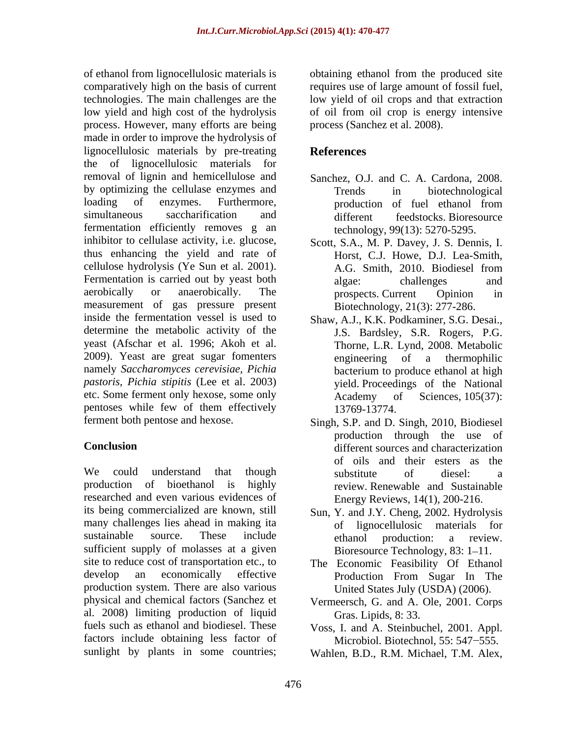of ethanol from lignocellulosic materials is obtaining ethanol from the produced site comparatively high on the basis of current requires use of large amount of fossil fuel, technologies. The main challenges are the low yield of oil crops and that extraction low yield and high cost of the hydrolysis of oil from oil crop is energy intensive process. However, many efforts are being made in order to improve the hydrolysis of lignocellulosic materials by pre-treating References the of lignocellulosic materials for removal of lignin and hemicellulose and by optimizing the cellulase enzymes and Trends in biotechnological loading of enzymes. Furthermore, production of fuel ethanol from simultaneous saccharification and different feedstocks. Bioresource fermentation efficiently removes g an inhibitor to cellulase activity, i.e. glucose, thus enhancing the yield and rate of cellulose hydrolysis (Ye Sun et al. 2001). Fermentation is carried out by yeast both algae: challenges and aerobically or anaerobically. The **prospects** current Opinion in measurement of gas pressure present inside the fermentation vessel is used to Shaw, A.J., K.K. Podkaminer, S.G. Desai., determine the metabolic activity of the yeast (Afschar et al. 1996; Akoh et al. 2009). Yeast are great sugar fomenters namely *Saccharomyces cerevisiae, Pichia pastoris, Pichia stipitis* (Lee et al. 2003) etc. Some ferment only hexose, some only <br>Academy of Sciences, 105(37): pentoses while few of them effectively 13769-13774.

We could understand that though substitute of diesel: a production of bioethanol is highly review. Renewable and Sustainable researched and even various evidences of its being commercialized are known, still Sun, Y. and J.Y. Cheng, 2002. Hydrolysis many challenges lies ahead in making ita sustainable source. These include  $\qquad$  ethanol production: a review. sufficient supply of molasses at a given site to reduce cost of transportation etc., to The Economic Feasibility Of Ethanol develop an economically effective Production From Sugar In The production system. There are also various physical and chemical factors (Sanchez et al. 2008) limiting production of liquid fuels such as ethanol and biodiesel. These Voss, I. and A. Steinbuchel, 2001. Appl. factors include obtaining less factor of sunlight by plants in some countries;

process (Sanchez et al. 2008).

## **References**

- Sanchez, O.J. and C. A. Cardona, 2008. Trends in biotechnological production of fuel ethanol from different feedstocks. Bioresource technology, 99(13): 5270-5295.
- Scott, S.A., M. P. Davey, J. S. Dennis, I. Horst, C.J. Howe, D.J. Lea-Smith, A.G. Smith, 2010. Biodiesel from algae: challenges and prospects. Current Opinion in Biotechnology, 21(3): 277-286.
- J.S. Bardsley, S.R. Rogers, P.G. Thorne, L.R. Lynd, 2008. Metabolic engineering of a thermophilic bacterium to produce ethanol at high yield. Proceedings of the National Academy of Sciences, 105(37): 13769-13774.
- ferment both pentose and hexose. Singh, S.P. and D. Singh, 2010, Biodiesel **Conclusion** production through the use of of oils and their esters as the substitute of diesel: a Energy Reviews, 14(1), 200-216.
	- lignocellulosic materials for ethanol production: a review. Bioresource Technology, 83: 1–11.
	- Production From Sugar In The United States July (USDA) (2006).
	- Vermeersch, G. and A. Ole, 2001. Corps Gras. Lipids, 8: 33.
	- Microbiol. Biotechnol, 55: 547-555.
	- Wahlen, B.D., R.M. Michael, T.M. Alex,